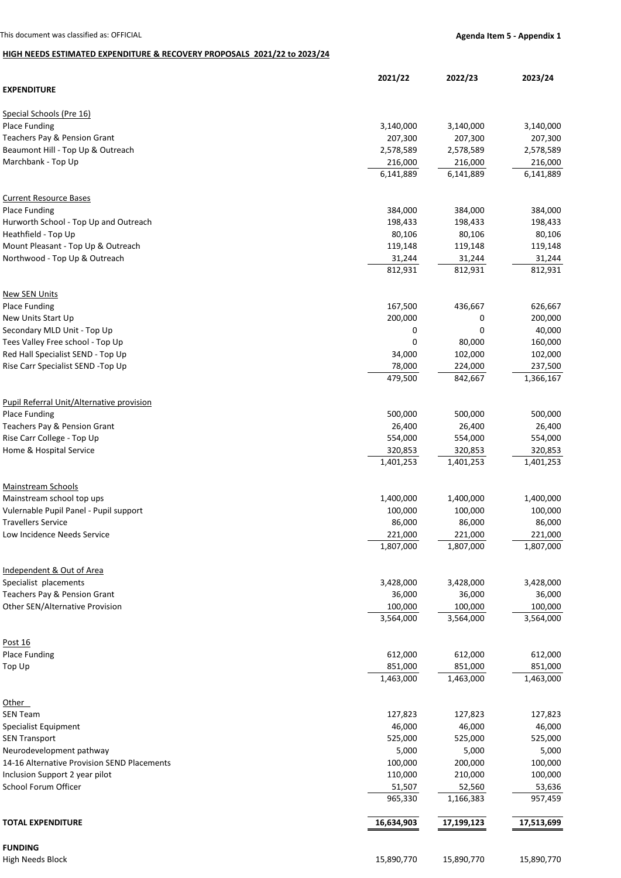## **HIGH NEEDS ESTIMATED EXPENDITURE & RECOVERY PROPOSALS 2021/22 to 2023/24**

|                                                  | 2021/22    | 2022/23    | 2023/24    |
|--------------------------------------------------|------------|------------|------------|
| <b>EXPENDITURE</b>                               |            |            |            |
| Special Schools (Pre 16)                         |            |            |            |
| Place Funding                                    | 3,140,000  | 3,140,000  | 3,140,000  |
| Teachers Pay & Pension Grant                     | 207,300    | 207,300    | 207,300    |
| Beaumont Hill - Top Up & Outreach                | 2,578,589  | 2,578,589  | 2,578,589  |
| Marchbank - Top Up                               | 216,000    | 216,000    | 216,000    |
|                                                  | 6,141,889  | 6,141,889  | 6,141,889  |
| <b>Current Resource Bases</b>                    |            |            |            |
| <b>Place Funding</b>                             | 384,000    | 384,000    | 384,000    |
| Hurworth School - Top Up and Outreach            | 198,433    | 198,433    | 198,433    |
| Heathfield - Top Up                              | 80,106     | 80,106     | 80,106     |
| Mount Pleasant - Top Up & Outreach               | 119,148    | 119,148    | 119,148    |
| Northwood - Top Up & Outreach                    | 31,244     | 31,244     | 31,244     |
|                                                  | 812,931    | 812,931    | 812,931    |
| <b>New SEN Units</b>                             |            |            |            |
| Place Funding                                    | 167,500    | 436,667    | 626,667    |
| New Units Start Up                               | 200,000    | 0          | 200,000    |
| Secondary MLD Unit - Top Up                      | 0          | 0          | 40,000     |
| Tees Valley Free school - Top Up                 | 0          | 80,000     | 160,000    |
| Red Hall Specialist SEND - Top Up                | 34,000     | 102,000    | 102,000    |
| Rise Carr Specialist SEND -Top Up                | 78,000     | 224,000    | 237,500    |
|                                                  | 479,500    | 842,667    | 1,366,167  |
| <b>Pupil Referral Unit/Alternative provision</b> |            |            |            |
| <b>Place Funding</b>                             | 500,000    | 500,000    | 500,000    |
| Teachers Pay & Pension Grant                     | 26,400     | 26,400     | 26,400     |
| Rise Carr College - Top Up                       | 554,000    | 554,000    | 554,000    |
| Home & Hospital Service                          | 320,853    | 320,853    | 320,853    |
|                                                  | 1,401,253  | 1,401,253  | 1,401,253  |
| <b>Mainstream Schools</b>                        |            |            |            |
| Mainstream school top ups                        | 1,400,000  | 1,400,000  | 1,400,000  |
| Vulernable Pupil Panel - Pupil support           | 100,000    | 100,000    | 100,000    |
| <b>Travellers Service</b>                        | 86,000     | 86,000     | 86,000     |
| Low Incidence Needs Service                      | 221,000    | 221,000    | 221,000    |
|                                                  | 1,807,000  | 1,807,000  | 1,807,000  |
| Independent & Out of Area                        |            |            |            |
| Specialist placements                            | 3,428,000  | 3,428,000  | 3,428,000  |
| Teachers Pay & Pension Grant                     | 36,000     | 36,000     | 36,000     |
| <b>Other SEN/Alternative Provision</b>           | 100,000    | 100,000    | 100,000    |
|                                                  | 3,564,000  | 3,564,000  | 3,564,000  |
| Post 16                                          |            |            |            |
| <b>Place Funding</b>                             | 612,000    | 612,000    | 612,000    |
| Top Up                                           | 851,000    | 851,000    | 851,000    |
|                                                  | 1,463,000  | 1,463,000  | 1,463,000  |
| Other                                            |            |            |            |
| <b>SEN Team</b>                                  | 127,823    | 127,823    | 127,823    |
| <b>Specialist Equipment</b>                      | 46,000     | 46,000     | 46,000     |
| <b>SEN Transport</b>                             | 525,000    | 525,000    | 525,000    |
| Neurodevelopment pathway                         | 5,000      | 5,000      | 5,000      |
| 14-16 Alternative Provision SEND Placements      | 100,000    | 200,000    | 100,000    |
| Inclusion Support 2 year pilot                   | 110,000    | 210,000    | 100,000    |
| School Forum Officer                             | 51,507     | 52,560     | 53,636     |
|                                                  | 965,330    | 1,166,383  | 957,459    |
| <b>TOTAL EXPENDITURE</b>                         | 16,634,903 | 17,199,123 | 17,513,699 |
| <b>FUNDING</b>                                   |            |            |            |
| <b>High Needs Block</b>                          | 15,890,770 | 15,890,770 | 15,890,770 |